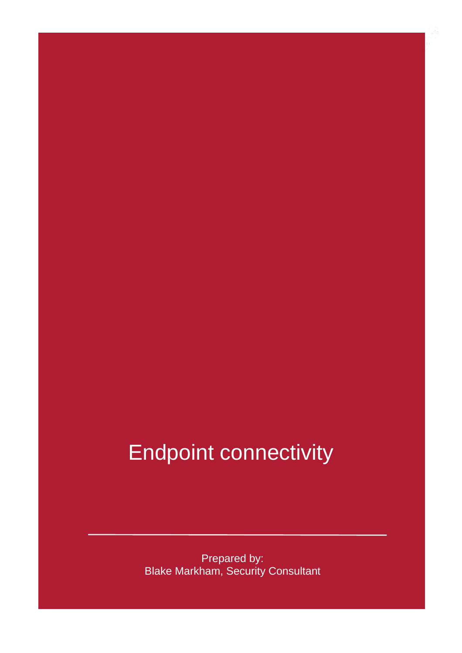### Endpoint connectivity

Prepared by: Blake Markham, Security Consultant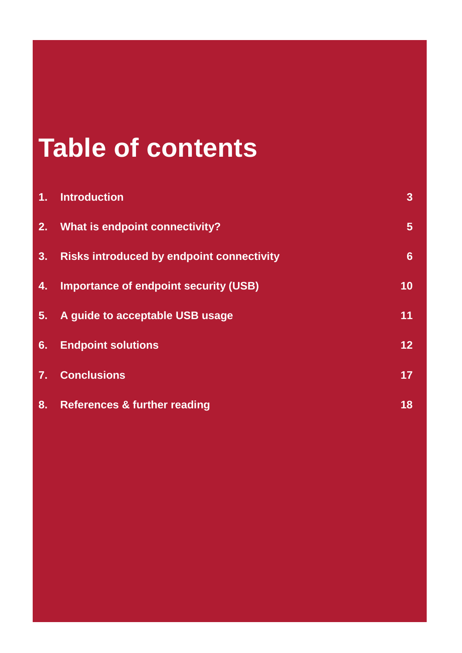### **Table of contents**

| 1. | <b>Introduction</b>                              | 3 <sup>1</sup>  |
|----|--------------------------------------------------|-----------------|
| 2. | What is endpoint connectivity?                   | 5 <sup>5</sup>  |
| 3. | <b>Risks introduced by endpoint connectivity</b> | $6\phantom{1}$  |
| 4. | <b>Importance of endpoint security (USB)</b>     | 10              |
| 5. | A guide to acceptable USB usage                  | 11              |
| 6. | <b>Endpoint solutions</b>                        | 12 <sub>2</sub> |
| 7. | <b>Conclusions</b>                               | 17 <sub>2</sub> |
| 8. | <b>References &amp; further reading</b>          | 18              |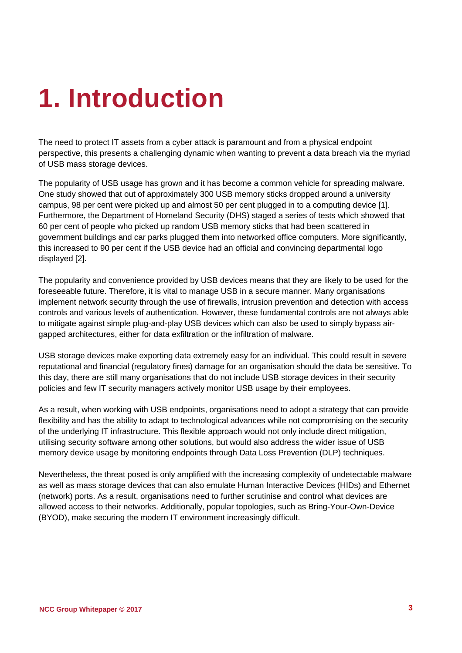## <span id="page-2-0"></span>**1. Introduction**

The need to protect IT assets from a cyber attack is paramount and from a physical endpoint perspective, this presents a challenging dynamic when wanting to prevent a data breach via the myriad of USB mass storage devices.

The popularity of USB usage has grown and it has become a common vehicle for spreading malware. One study showed that out of approximately 300 USB memory sticks dropped around a university campus, 98 per cent were picked up and almost 50 per cent plugged in to a computing device [1]. Furthermore, the Department of Homeland Security (DHS) staged a series of tests which showed that 60 per cent of people who picked up random USB memory sticks that had been scattered in government buildings and car parks plugged them into networked office computers. More significantly, this increased to 90 per cent if the USB device had an official and convincing departmental logo displayed [2].

The popularity and convenience provided by USB devices means that they are likely to be used for the foreseeable future. Therefore, it is vital to manage USB in a secure manner. Many organisations implement network security through the use of firewalls, intrusion prevention and detection with access controls and various levels of authentication. However, these fundamental controls are not always able to mitigate against simple plug-and-play USB devices which can also be used to simply bypass airgapped architectures, either for data exfiltration or the infiltration of malware.

USB storage devices make exporting data extremely easy for an individual. This could result in severe reputational and financial (regulatory fines) damage for an organisation should the data be sensitive. To this day, there are still many organisations that do not include USB storage devices in their security policies and few IT security managers actively monitor USB usage by their employees.

As a result, when working with USB endpoints, organisations need to adopt a strategy that can provide flexibility and has the ability to adapt to technological advances while not compromising on the security of the underlying IT infrastructure. This flexible approach would not only include direct mitigation, utilising security software among other solutions, but would also address the wider issue of USB memory device usage by monitoring endpoints through Data Loss Prevention (DLP) techniques.

Nevertheless, the threat posed is only amplified with the increasing complexity of undetectable malware as well as mass storage devices that can also emulate Human Interactive Devices (HIDs) and Ethernet (network) ports. As a result, organisations need to further scrutinise and control what devices are allowed access to their networks. Additionally, popular topologies, such as Bring-Your-Own-Device (BYOD), make securing the modern IT environment increasingly difficult.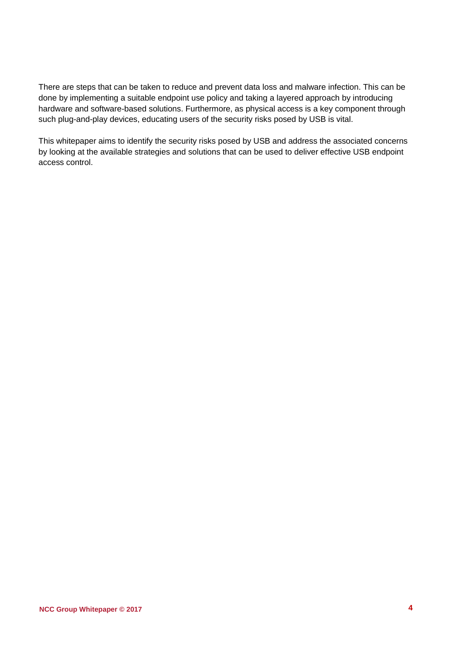There are steps that can be taken to reduce and prevent data loss and malware infection. This can be done by implementing a suitable endpoint use policy and taking a layered approach by introducing hardware and software-based solutions. Furthermore, as physical access is a key component through such plug-and-play devices, educating users of the security risks posed by USB is vital.

This whitepaper aims to identify the security risks posed by USB and address the associated concerns by looking at the available strategies and solutions that can be used to deliver effective USB endpoint access control.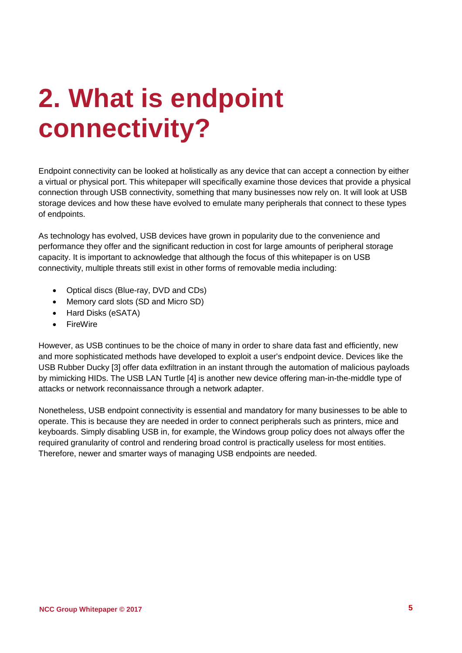## <span id="page-4-0"></span>**2. What is endpoint connectivity?**

Endpoint connectivity can be looked at holistically as any device that can accept a connection by either a virtual or physical port. This whitepaper will specifically examine those devices that provide a physical connection through USB connectivity, something that many businesses now rely on. It will look at USB storage devices and how these have evolved to emulate many peripherals that connect to these types of endpoints.

As technology has evolved, USB devices have grown in popularity due to the convenience and performance they offer and the significant reduction in cost for large amounts of peripheral storage capacity. It is important to acknowledge that although the focus of this whitepaper is on USB connectivity, multiple threats still exist in other forms of removable media including:

- Optical discs (Blue-ray, DVD and CDs)
- Memory card slots (SD and Micro SD)
- Hard Disks (eSATA)
- FireWire

However, as USB continues to be the choice of many in order to share data fast and efficiently, new and more sophisticated methods have developed to exploit a user's endpoint device. Devices like the USB Rubber Ducky [3] offer data exfiltration in an instant through the automation of malicious payloads by mimicking HIDs. The USB LAN Turtle [4] is another new device offering man-in-the-middle type of attacks or network reconnaissance through a network adapter.

Nonetheless, USB endpoint connectivity is essential and mandatory for many businesses to be able to operate. This is because they are needed in order to connect peripherals such as printers, mice and keyboards. Simply disabling USB in, for example, the Windows group policy does not always offer the required granularity of control and rendering broad control is practically useless for most entities. Therefore, newer and smarter ways of managing USB endpoints are needed.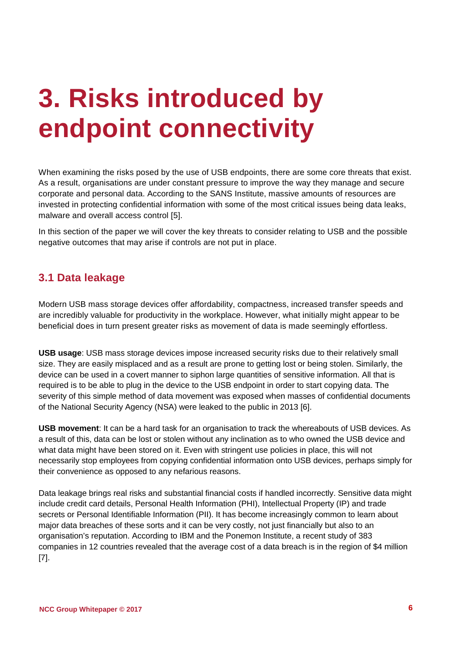## <span id="page-5-0"></span>**3. Risks introduced by endpoint connectivity**

When examining the risks posed by the use of USB endpoints, there are some core threats that exist. As a result, organisations are under constant pressure to improve the way they manage and secure corporate and personal data. According to the SANS Institute, massive amounts of resources are invested in protecting confidential information with some of the most critical issues being data leaks, malware and overall access control [5].

In this section of the paper we will cover the key threats to consider relating to USB and the possible negative outcomes that may arise if controls are not put in place.

### **3.1 Data leakage**

Modern USB mass storage devices offer affordability, compactness, increased transfer speeds and are incredibly valuable for productivity in the workplace. However, what initially might appear to be beneficial does in turn present greater risks as movement of data is made seemingly effortless.

**USB usage**: USB mass storage devices impose increased security risks due to their relatively small size. They are easily misplaced and as a result are prone to getting lost or being stolen. Similarly, the device can be used in a covert manner to siphon large quantities of sensitive information. All that is required is to be able to plug in the device to the USB endpoint in order to start copying data. The severity of this simple method of data movement was exposed when masses of confidential documents of the National Security Agency (NSA) were leaked to the public in 2013 [6].

**USB movement**: It can be a hard task for an organisation to track the whereabouts of USB devices. As a result of this, data can be lost or stolen without any inclination as to who owned the USB device and what data might have been stored on it. Even with stringent use policies in place, this will not necessarily stop employees from copying confidential information onto USB devices, perhaps simply for their convenience as opposed to any nefarious reasons.

Data leakage brings real risks and substantial financial costs if handled incorrectly. Sensitive data might include credit card details, Personal Health Information (PHI), Intellectual Property (IP) and trade secrets or Personal Identifiable Information (PII). It has become increasingly common to learn about major data breaches of these sorts and it can be very costly, not just financially but also to an organisation's reputation. According to IBM and the Ponemon Institute, a recent study of 383 companies in 12 countries revealed that the average cost of a data breach is in the region of \$4 million [7].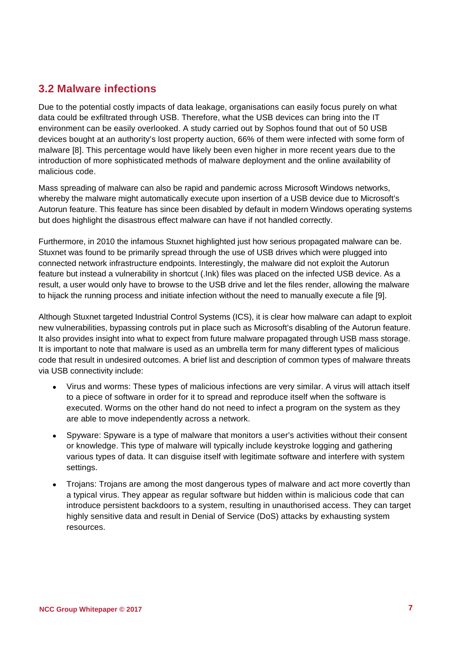### **3.2 Malware infections**

Due to the potential costly impacts of data leakage, organisations can easily focus purely on what data could be exfiltrated through USB. Therefore, what the USB devices can bring into the IT environment can be easily overlooked. A study carried out by Sophos found that out of 50 USB devices bought at an authority's lost property auction, 66% of them were infected with some form of malware [8]. This percentage would have likely been even higher in more recent years due to the introduction of more sophisticated methods of malware deployment and the online availability of malicious code.

Mass spreading of malware can also be rapid and pandemic across Microsoft Windows networks, whereby the malware might automatically execute upon insertion of a USB device due to Microsoft's Autorun feature. This feature has since been disabled by default in modern Windows operating systems but does highlight the disastrous effect malware can have if not handled correctly.

Furthermore, in 2010 the infamous Stuxnet highlighted just how serious propagated malware can be. Stuxnet was found to be primarily spread through the use of USB drives which were plugged into connected network infrastructure endpoints. Interestingly, the malware did not exploit the Autorun feature but instead a vulnerability in shortcut (.Ink) files was placed on the infected USB device. As a result, a user would only have to browse to the USB drive and let the files render, allowing the malware to hijack the running process and initiate infection without the need to manually execute a file [9].

Although Stuxnet targeted Industrial Control Systems (ICS), it is clear how malware can adapt to exploit new vulnerabilities, bypassing controls put in place such as Microsoft's disabling of the Autorun feature. It also provides insight into what to expect from future malware propagated through USB mass storage. It is important to note that malware is used as an umbrella term for many different types of malicious code that result in undesired outcomes. A brief list and description of common types of malware threats via USB connectivity include:

- Virus and worms: These types of malicious infections are very similar. A virus will attach itself to a piece of software in order for it to spread and reproduce itself when the software is executed. Worms on the other hand do not need to infect a program on the system as they are able to move independently across a network.
- Spyware: Spyware is a type of malware that monitors a user's activities without their consent or knowledge. This type of malware will typically include keystroke logging and gathering various types of data. It can disguise itself with legitimate software and interfere with system settings.
- Trojans: Trojans are among the most dangerous types of malware and act more covertly than a typical virus. They appear as regular software but hidden within is malicious code that can introduce persistent backdoors to a system, resulting in unauthorised access. They can target highly sensitive data and result in Denial of Service (DoS) attacks by exhausting system resources.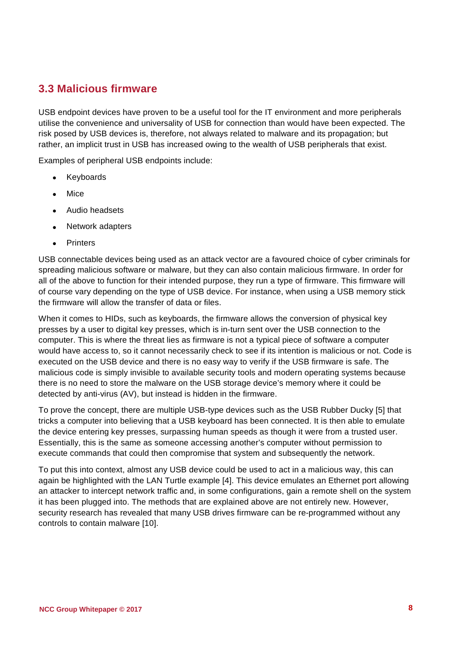### **3.3 Malicious firmware**

USB endpoint devices have proven to be a useful tool for the IT environment and more peripherals utilise the convenience and universality of USB for connection than would have been expected. The risk posed by USB devices is, therefore, not always related to malware and its propagation; but rather, an implicit trust in USB has increased owing to the wealth of USB peripherals that exist.

Examples of peripheral USB endpoints include:

- Keyboards
- Mice
- Audio headsets
- Network adapters
- Printers

USB connectable devices being used as an attack vector are a favoured choice of cyber criminals for spreading malicious software or malware, but they can also contain malicious firmware. In order for all of the above to function for their intended purpose, they run a type of firmware. This firmware will of course vary depending on the type of USB device. For instance, when using a USB memory stick the firmware will allow the transfer of data or files.

When it comes to HIDs, such as keyboards, the firmware allows the conversion of physical key presses by a user to digital key presses, which is in-turn sent over the USB connection to the computer. This is where the threat lies as firmware is not a typical piece of software a computer would have access to, so it cannot necessarily check to see if its intention is malicious or not. Code is executed on the USB device and there is no easy way to verify if the USB firmware is safe. The malicious code is simply invisible to available security tools and modern operating systems because there is no need to store the malware on the USB storage device's memory where it could be detected by anti-virus (AV), but instead is hidden in the firmware.

To prove the concept, there are multiple USB-type devices such as the USB Rubber Ducky [5] that tricks a computer into believing that a USB keyboard has been connected. It is then able to emulate the device entering key presses, surpassing human speeds as though it were from a trusted user. Essentially, this is the same as someone accessing another's computer without permission to execute commands that could then compromise that system and subsequently the network.

To put this into context, almost any USB device could be used to act in a malicious way, this can again be highlighted with the LAN Turtle example [4]. This device emulates an Ethernet port allowing an attacker to intercept network traffic and, in some configurations, gain a remote shell on the system it has been plugged into. The methods that are explained above are not entirely new. However, security research has revealed that many USB drives firmware can be re-programmed without any controls to contain malware [10].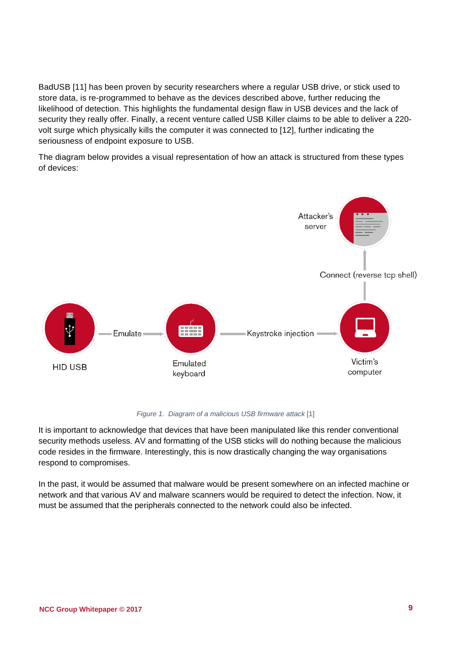BadUSB [11] has been proven by security researchers where a regular USB drive, or stick used to store data, is re-programmed to behave as the devices described above, further reducing the likelihood of detection. This highlights the fundamental design flaw in USB devices and the lack of security they really offer. Finally, a recent venture called USB Killer claims to be able to deliver a 220 volt surge which physically kills the computer it was connected to [12], further indicating the seriousness of endpoint exposure to USB.

The diagram below provides a visual representation of how an attack is structured from these types of devices:



*Figure 1. Diagram of a malicious USB firmware attack* [1]

<span id="page-8-0"></span>It is important to acknowledge that devices that have been manipulated like this render conventional security methods useless. AV and formatting of the USB sticks will do nothing because the malicious code resides in the firmware. Interestingly, this is now drastically changing the way organisations respond to compromises.

In the past, it would be assumed that malware would be present somewhere on an infected machine or network and that various AV and malware scanners would be required to detect the infection. Now, it must be assumed that the peripherals connected to the network could also be infected.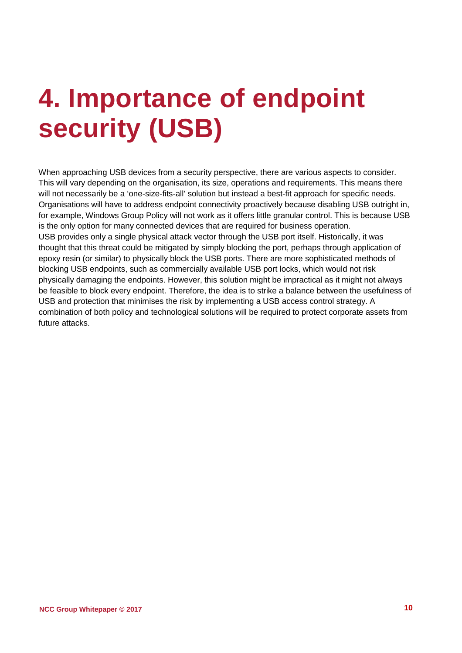## <span id="page-9-0"></span>**4. Importance of endpoint security (USB)**

When approaching USB devices from a security perspective, there are various aspects to consider. This will vary depending on the organisation, its size, operations and requirements. This means there will not necessarily be a 'one-size-fits-all' solution but instead a best-fit approach for specific needs. Organisations will have to address endpoint connectivity proactively because disabling USB outright in, for example, Windows Group Policy will not work as it offers little granular control. This is because USB is the only option for many connected devices that are required for business operation. USB provides only a single physical attack vector through the USB port itself. Historically, it was thought that this threat could be mitigated by simply blocking the port, perhaps through application of epoxy resin (or similar) to physically block the USB ports. There are more sophisticated methods of blocking USB endpoints, such as commercially available USB port locks, which would not risk physically damaging the endpoints. However, this solution might be impractical as it might not always be feasible to block every endpoint. Therefore, the idea is to strike a balance between the usefulness of USB and protection that minimises the risk by implementing a USB access control strategy. A combination of both policy and technological solutions will be required to protect corporate assets from future attacks.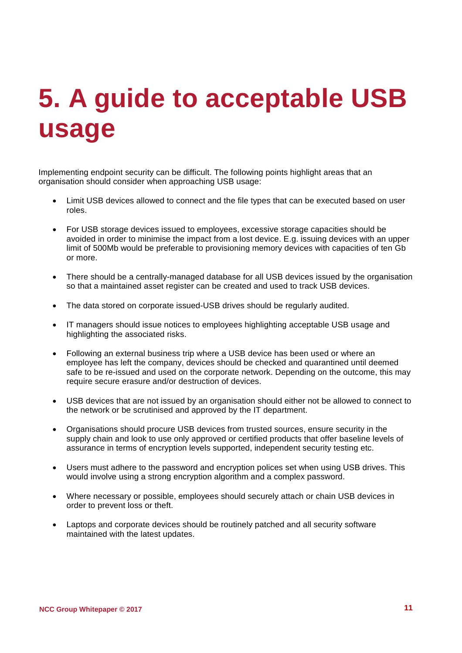## <span id="page-10-0"></span>**5. A guide to acceptable USB usage**

Implementing endpoint security can be difficult. The following points highlight areas that an organisation should consider when approaching USB usage:

- Limit USB devices allowed to connect and the file types that can be executed based on user roles.
- For USB storage devices issued to employees, excessive storage capacities should be avoided in order to minimise the impact from a lost device. E.g. issuing devices with an upper limit of 500Mb would be preferable to provisioning memory devices with capacities of ten Gb or more.
- There should be a centrally-managed database for all USB devices issued by the organisation so that a maintained asset register can be created and used to track USB devices.
- The data stored on corporate issued-USB drives should be regularly audited.
- IT managers should issue notices to employees highlighting acceptable USB usage and highlighting the associated risks.
- Following an external business trip where a USB device has been used or where an employee has left the company, devices should be checked and quarantined until deemed safe to be re-issued and used on the corporate network. Depending on the outcome, this may require secure erasure and/or destruction of devices.
- USB devices that are not issued by an organisation should either not be allowed to connect to the network or be scrutinised and approved by the IT department.
- Organisations should procure USB devices from trusted sources, ensure security in the supply chain and look to use only approved or certified products that offer baseline levels of assurance in terms of encryption levels supported, independent security testing etc.
- Users must adhere to the password and encryption polices set when using USB drives. This would involve using a strong encryption algorithm and a complex password.
- Where necessary or possible, employees should securely attach or chain USB devices in order to prevent loss or theft.
- Laptops and corporate devices should be routinely patched and all security software maintained with the latest updates.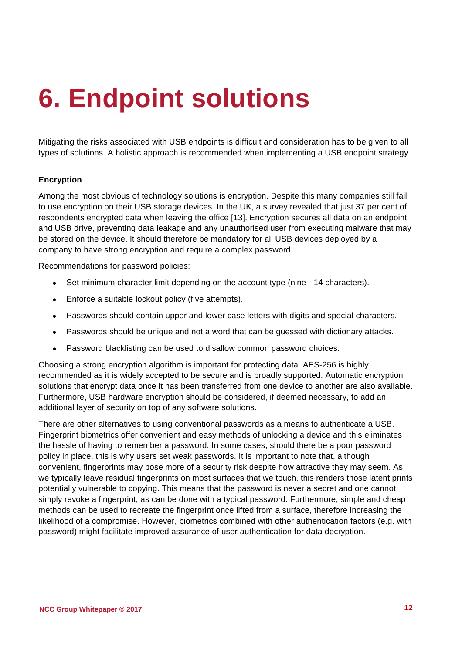## <span id="page-11-0"></span>**6. Endpoint solutions**

Mitigating the risks associated with USB endpoints is difficult and consideration has to be given to all types of solutions. A holistic approach is recommended when implementing a USB endpoint strategy.

#### **Encryption**

Among the most obvious of technology solutions is encryption. Despite this many companies still fail to use encryption on their USB storage devices. In the UK, a survey revealed that just 37 per cent of respondents encrypted data when leaving the office [13]. Encryption secures all data on an endpoint and USB drive, preventing data leakage and any unauthorised user from executing malware that may be stored on the device. It should therefore be mandatory for all USB devices deployed by a company to have strong encryption and require a complex password.

Recommendations for password policies:

- Set minimum character limit depending on the account type (nine 14 characters).
- Enforce a suitable lockout policy (five attempts).
- Passwords should contain upper and lower case letters with digits and special characters.
- Passwords should be unique and not a word that can be guessed with dictionary attacks.
- Password blacklisting can be used to disallow common password choices.

Choosing a strong encryption algorithm is important for protecting data. AES-256 is highly recommended as it is widely accepted to be secure and is broadly supported. Automatic encryption solutions that encrypt data once it has been transferred from one device to another are also available. Furthermore, USB hardware encryption should be considered, if deemed necessary, to add an additional layer of security on top of any software solutions.

There are other alternatives to using conventional passwords as a means to authenticate a USB. Fingerprint biometrics offer convenient and easy methods of unlocking a device and this eliminates the hassle of having to remember a password. In some cases, should there be a poor password policy in place, this is why users set weak passwords. It is important to note that, although convenient, fingerprints may pose more of a security risk despite how attractive they may seem. As we typically leave residual fingerprints on most surfaces that we touch, this renders those latent prints potentially vulnerable to copying. This means that the password is never a secret and one cannot simply revoke a fingerprint, as can be done with a typical password. Furthermore, simple and cheap methods can be used to recreate the fingerprint once lifted from a surface, therefore increasing the likelihood of a compromise. However, biometrics combined with other authentication factors (e.g. with password) might facilitate improved assurance of user authentication for data decryption.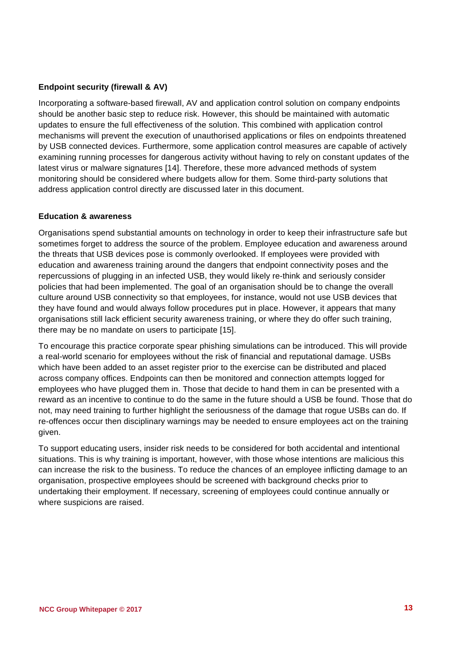#### **Endpoint security (firewall & AV)**

Incorporating a software-based firewall, AV and application control solution on company endpoints should be another basic step to reduce risk. However, this should be maintained with automatic updates to ensure the full effectiveness of the solution. This combined with application control mechanisms will prevent the execution of unauthorised applications or files on endpoints threatened by USB connected devices. Furthermore, some application control measures are capable of actively examining running processes for dangerous activity without having to rely on constant updates of the latest virus or malware signatures [14]. Therefore, these more advanced methods of system monitoring should be considered where budgets allow for them. Some third-party solutions that address application control directly are discussed later in this document.

#### **Education & awareness**

Organisations spend substantial amounts on technology in order to keep their infrastructure safe but sometimes forget to address the source of the problem. Employee education and awareness around the threats that USB devices pose is commonly overlooked. If employees were provided with education and awareness training around the dangers that endpoint connectivity poses and the repercussions of plugging in an infected USB, they would likely re-think and seriously consider policies that had been implemented. The goal of an organisation should be to change the overall culture around USB connectivity so that employees, for instance, would not use USB devices that they have found and would always follow procedures put in place. However, it appears that many organisations still lack efficient security awareness training, or where they do offer such training, there may be no mandate on users to participate [15].

To encourage this practice corporate spear phishing simulations can be introduced. This will provide a real-world scenario for employees without the risk of financial and reputational damage. USBs which have been added to an asset register prior to the exercise can be distributed and placed across company offices. Endpoints can then be monitored and connection attempts logged for employees who have plugged them in. Those that decide to hand them in can be presented with a reward as an incentive to continue to do the same in the future should a USB be found. Those that do not, may need training to further highlight the seriousness of the damage that rogue USBs can do. If re-offences occur then disciplinary warnings may be needed to ensure employees act on the training given.

To support educating users, insider risk needs to be considered for both accidental and intentional situations. This is why training is important, however, with those whose intentions are malicious this can increase the risk to the business. To reduce the chances of an employee inflicting damage to an organisation, prospective employees should be screened with background checks prior to undertaking their employment. If necessary, screening of employees could continue annually or where suspicions are raised.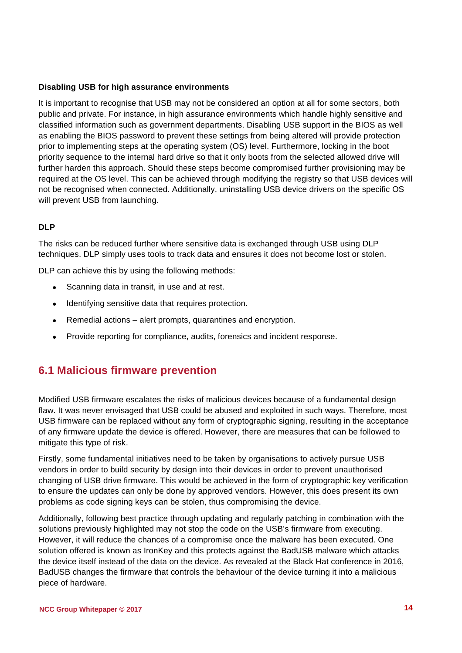#### **Disabling USB for high assurance environments**

It is important to recognise that USB may not be considered an option at all for some sectors, both public and private. For instance, in high assurance environments which handle highly sensitive and classified information such as government departments. Disabling USB support in the BIOS as well as enabling the BIOS password to prevent these settings from being altered will provide protection prior to implementing steps at the operating system (OS) level. Furthermore, locking in the boot priority sequence to the internal hard drive so that it only boots from the selected allowed drive will further harden this approach. Should these steps become compromised further provisioning may be required at the OS level. This can be achieved through modifying the registry so that USB devices will not be recognised when connected. Additionally, uninstalling USB device drivers on the specific OS will prevent USB from launching.

#### **DLP**

The risks can be reduced further where sensitive data is exchanged through USB using DLP techniques. DLP simply uses tools to track data and ensures it does not become lost or stolen.

DLP can achieve this by using the following methods:

- Scanning data in transit, in use and at rest.
- Identifying sensitive data that requires protection.
- Remedial actions alert prompts, quarantines and encryption.
- Provide reporting for compliance, audits, forensics and incident response.

### **6.1 Malicious firmware prevention**

Modified USB firmware escalates the risks of malicious devices because of a fundamental design flaw. It was never envisaged that USB could be abused and exploited in such ways. Therefore, most USB firmware can be replaced without any form of cryptographic signing, resulting in the acceptance of any firmware update the device is offered. However, there are measures that can be followed to mitigate this type of risk.

Firstly, some fundamental initiatives need to be taken by organisations to actively pursue USB vendors in order to build security by design into their devices in order to prevent unauthorised changing of USB drive firmware. This would be achieved in the form of cryptographic key verification to ensure the updates can only be done by approved vendors. However, this does present its own problems as code signing keys can be stolen, thus compromising the device.

Additionally, following best practice through updating and regularly patching in combination with the solutions previously highlighted may not stop the code on the USB's firmware from executing. However, it will reduce the chances of a compromise once the malware has been executed. One solution offered is known as IronKey and this protects against the BadUSB malware which attacks the device itself instead of the data on the device. As revealed at the Black Hat conference in 2016, BadUSB changes the firmware that controls the behaviour of the device turning it into a malicious piece of hardware.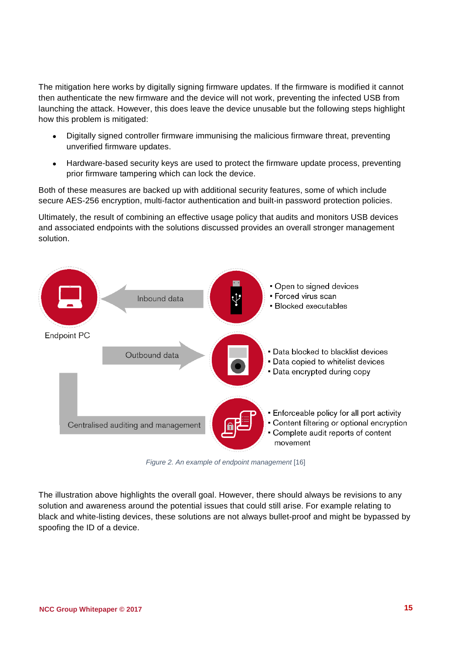The mitigation here works by digitally signing firmware updates. If the firmware is modified it cannot then authenticate the new firmware and the device will not work, preventing the infected USB from launching the attack. However, this does leave the device unusable but the following steps highlight how this problem is mitigated:

- Digitally signed controller firmware immunising the malicious firmware threat, preventing unverified firmware updates.
- Hardware-based security keys are used to protect the firmware update process, preventing prior firmware tampering which can lock the device.

Both of these measures are backed up with additional security features, some of which include secure AES-256 encryption, multi-factor authentication and built-in password protection policies.

Ultimately, the result of combining an effective usage policy that audits and monitors USB devices and associated endpoints with the solutions discussed provides an overall stronger management solution.



*Figure 2. An example of endpoint management* [16]

<span id="page-14-0"></span>The illustration above highlights the overall goal. However, there should always be revisions to any solution and awareness around the potential issues that could still arise. For example relating to black and white-listing devices, these solutions are not always bullet-proof and might be bypassed by spoofing the ID of a device.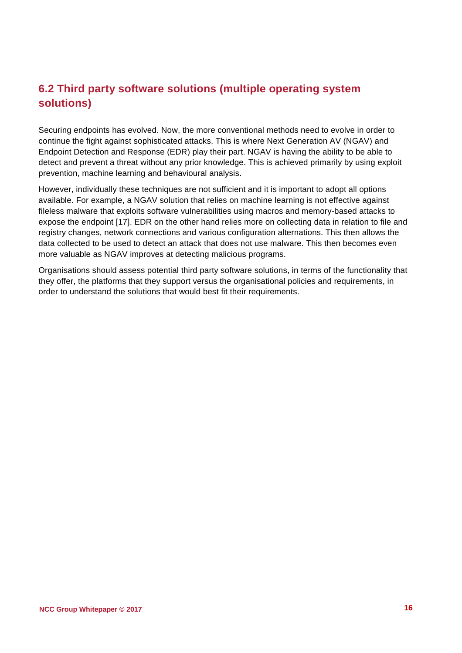### **6.2 Third party software solutions (multiple operating system solutions)**

Securing endpoints has evolved. Now, the more conventional methods need to evolve in order to continue the fight against sophisticated attacks. This is where Next Generation AV (NGAV) and Endpoint Detection and Response (EDR) play their part. NGAV is having the ability to be able to detect and prevent a threat without any prior knowledge. This is achieved primarily by using exploit prevention, machine learning and behavioural analysis.

However, individually these techniques are not sufficient and it is important to adopt all options available. For example, a NGAV solution that relies on machine learning is not effective against fileless malware that exploits software vulnerabilities using macros and memory-based attacks to expose the endpoint [17]. EDR on the other hand relies more on collecting data in relation to file and registry changes, network connections and various configuration alternations. This then allows the data collected to be used to detect an attack that does not use malware. This then becomes even more valuable as NGAV improves at detecting malicious programs.

Organisations should assess potential third party software solutions, in terms of the functionality that they offer, the platforms that they support versus the organisational policies and requirements, in order to understand the solutions that would best fit their requirements.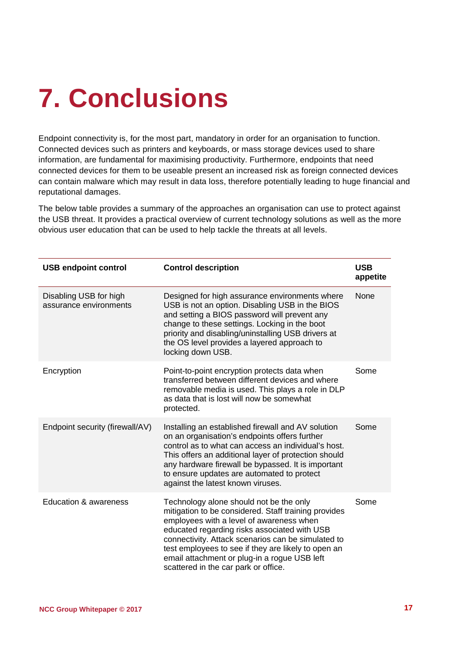# <span id="page-16-0"></span>**7. Conclusions**

Endpoint connectivity is, for the most part, mandatory in order for an organisation to function. Connected devices such as printers and keyboards, or mass storage devices used to share information, are fundamental for maximising productivity. Furthermore, endpoints that need connected devices for them to be useable present an increased risk as foreign connected devices can contain malware which may result in data loss, therefore potentially leading to huge financial and reputational damages.

The below table provides a summary of the approaches an organisation can use to protect against the USB threat. It provides a practical overview of current technology solutions as well as the more obvious user education that can be used to help tackle the threats at all levels.

| <b>USB endpoint control</b>                      | <b>Control description</b>                                                                                                                                                                                                                                                                                                                                                                       | <b>USB</b><br>appetite |
|--------------------------------------------------|--------------------------------------------------------------------------------------------------------------------------------------------------------------------------------------------------------------------------------------------------------------------------------------------------------------------------------------------------------------------------------------------------|------------------------|
| Disabling USB for high<br>assurance environments | Designed for high assurance environments where<br>USB is not an option. Disabling USB in the BIOS<br>and setting a BIOS password will prevent any<br>change to these settings. Locking in the boot<br>priority and disabling/uninstalling USB drivers at<br>the OS level provides a layered approach to<br>locking down USB.                                                                     | None                   |
| Encryption                                       | Point-to-point encryption protects data when<br>transferred between different devices and where<br>removable media is used. This plays a role in DLP<br>as data that is lost will now be somewhat<br>protected.                                                                                                                                                                                  | Some                   |
| Endpoint security (firewall/AV)                  | Installing an established firewall and AV solution<br>on an organisation's endpoints offers further<br>control as to what can access an individual's host.<br>This offers an additional layer of protection should<br>any hardware firewall be bypassed. It is important<br>to ensure updates are automated to protect<br>against the latest known viruses.                                      | Some                   |
| Education & awareness                            | Technology alone should not be the only<br>mitigation to be considered. Staff training provides<br>employees with a level of awareness when<br>educated regarding risks associated with USB<br>connectivity. Attack scenarios can be simulated to<br>test employees to see if they are likely to open an<br>email attachment or plug-in a rogue USB left<br>scattered in the car park or office. | Some                   |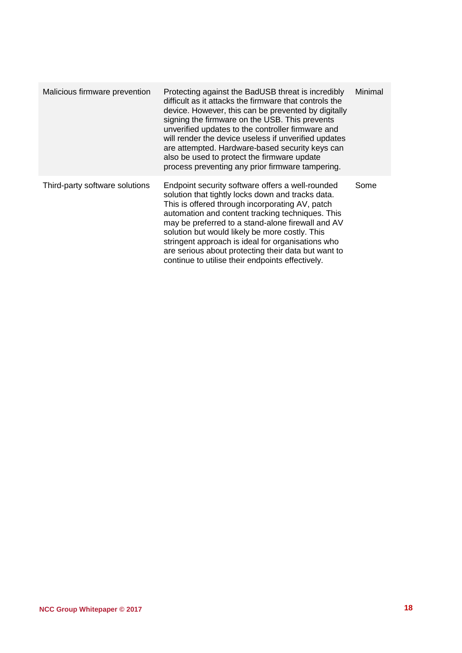| Malicious firmware prevention  | Protecting against the BadUSB threat is incredibly<br>difficult as it attacks the firmware that controls the<br>device. However, this can be prevented by digitally<br>signing the firmware on the USB. This prevents<br>unverified updates to the controller firmware and<br>will render the device useless if unverified updates<br>are attempted. Hardware-based security keys can<br>also be used to protect the firmware update<br>process preventing any prior firmware tampering. | Minimal |
|--------------------------------|------------------------------------------------------------------------------------------------------------------------------------------------------------------------------------------------------------------------------------------------------------------------------------------------------------------------------------------------------------------------------------------------------------------------------------------------------------------------------------------|---------|
| Third-party software solutions | Endpoint security software offers a well-rounded<br>solution that tightly locks down and tracks data.<br>This is offered through incorporating AV, patch<br>automation and content tracking techniques. This<br>may be preferred to a stand-alone firewall and AV<br>solution but would likely be more costly. This<br>stringent approach is ideal for organisations who<br>are serious about protecting their data but want to<br>continue to utilise their endpoints effectively.      | Some    |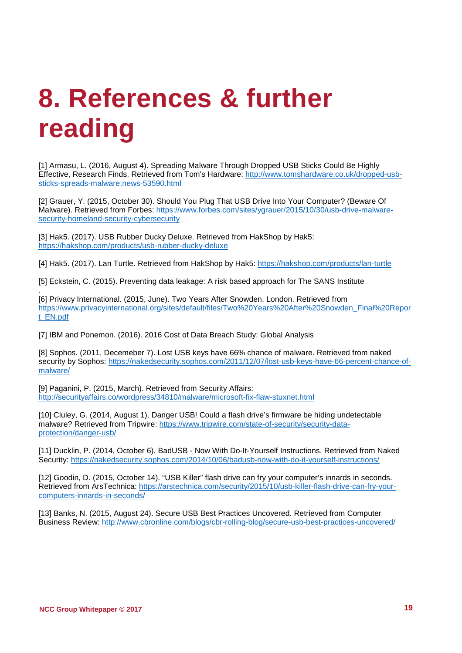## <span id="page-18-0"></span>**8. References & further reading**

[1] Armasu, L. (2016, August 4). Spreading Malware Through Dropped USB Sticks Could Be Highly Effective, Research Finds. Retrieved from Tom's Hardware: [http://www.tomshardware.co.uk/dropped-usb](http://www.tomshardware.co.uk/dropped-usb-sticks-spreads-malware,news-53590.html)[sticks-spreads-malware,news-53590.html](http://www.tomshardware.co.uk/dropped-usb-sticks-spreads-malware,news-53590.html)

[2] Grauer, Y. (2015, October 30). Should You Plug That USB Drive Into Your Computer? (Beware Of Malware). Retrieved from Forbes: [https://www.forbes.com/sites/ygrauer/2015/10/30/usb-drive-malware](https://www.forbes.com/sites/ygrauer/2015/10/30/usb-drive-malware-security-homeland-security-cybersecurity)[security-homeland-security-cybersecurity](https://www.forbes.com/sites/ygrauer/2015/10/30/usb-drive-malware-security-homeland-security-cybersecurity)

[3] Hak5. (2017). USB Rubber Ducky Deluxe. Retrieved from HakShop by Hak5: <https://hakshop.com/products/usb-rubber-ducky-deluxe>

[4] Hak5. (2017). Lan Turtle. Retrieved from HakShop by Hak5:<https://hakshop.com/products/lan-turtle>

[5] Eckstein, C. (2015). Preventing data leakage: A risk based approach for The SANS Institute

. [6] Privacy International. (2015, June). Two Years After Snowden. London. Retrieved from [https://www.privacyinternational.org/sites/default/files/Two%20Years%20After%20Snowden\\_Final%20Repor](https://www.privacyinternational.org/sites/default/files/Two%20Years%20After%20Snowden_Final%20Report_EN.pdf) [t\\_EN.pdf](https://www.privacyinternational.org/sites/default/files/Two%20Years%20After%20Snowden_Final%20Report_EN.pdf)

[7] IBM and Ponemon. (2016). 2016 Cost of Data Breach Study: Global Analysis

[8] Sophos. (2011, Decemeber 7). Lost USB keys have 66% chance of malware. Retrieved from naked security by Sophos: [https://nakedsecurity.sophos.com/2011/12/07/lost-usb-keys-have-66-percent-chance-of](https://nakedsecurity.sophos.com/2011/12/07/lost-usb-keys-have-66-percent-chance-of-malware/)[malware/](https://nakedsecurity.sophos.com/2011/12/07/lost-usb-keys-have-66-percent-chance-of-malware/)

[9] Paganini, P. (2015, March). Retrieved from Security Affairs: <http://securityaffairs.co/wordpress/34810/malware/microsoft-fix-flaw-stuxnet.html>

[10] Cluley, G. (2014, August 1). Danger USB! Could a flash drive's firmware be hiding undetectable malware? Retrieved from Tripwire: [https://www.tripwire.com/state-of-security/security-data](https://www.tripwire.com/state-of-security/security-data-protection/danger-usb/)[protection/danger-usb/](https://www.tripwire.com/state-of-security/security-data-protection/danger-usb/)

[11] Ducklin, P. (2014, October 6). BadUSB - Now With Do-It-Yourself Instructions. Retrieved from Naked Security:<https://nakedsecurity.sophos.com/2014/10/06/badusb-now-with-do-it-yourself-instructions/>

[12] Goodin, D. (2015, October 14). "USB Killer" flash drive can fry your computer's innards in seconds. Retrieved from ArsTechnica: [https://arstechnica.com/security/2015/10/usb-killer-flash-drive-can-fry-your](https://arstechnica.com/security/2015/10/usb-killer-flash-drive-can-fry-your-computers-innards-in-seconds/)[computers-innards-in-seconds/](https://arstechnica.com/security/2015/10/usb-killer-flash-drive-can-fry-your-computers-innards-in-seconds/)

[13] Banks, N. (2015, August 24). Secure USB Best Practices Uncovered. Retrieved from Computer Business Review:<http://www.cbronline.com/blogs/cbr-rolling-blog/secure-usb-best-practices-uncovered/>